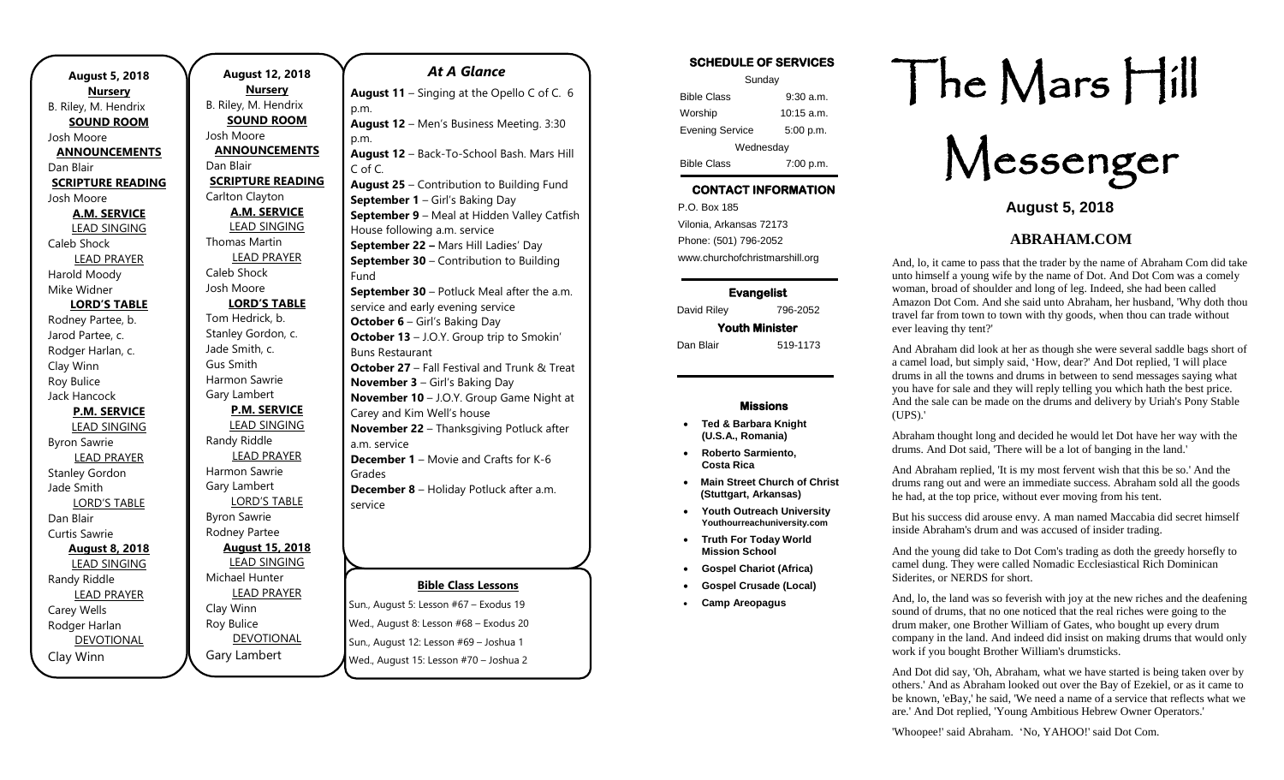| <b>August 5, 2018</b><br><b>Nursery</b> |
|-----------------------------------------|
| B. Riley, M. Hendrix                    |
| <b>SOUND ROOM</b>                       |
| Josh Moore                              |
| <b>ANNOUNCEMENTS</b>                    |
| Dan Blair                               |
| <b>SCRIPTURE READING</b>                |
| Josh Moore                              |
| <b>A.M. SERVICE</b>                     |
| <b>LEAD SINGING</b>                     |
| Caleb Shock                             |
| <b>LEAD PRAYER</b>                      |
| Harold Moody                            |
| Mike Widner                             |
| <b>LORD'S TABLE</b>                     |
| Rodney Partee, b.                       |
| Jarod Partee, c.                        |
| Rodger Harlan, c.                       |
| Clay Winn                               |
| Roy Bulice                              |
| Jack Hancock                            |
| <b>P.M. SERVICE</b>                     |
| <b>LEAD SINGING</b>                     |
| <b>Byron Sawrie</b>                     |
| <b>LEAD PRAYER</b>                      |
| <b>Stanley Gordon</b>                   |
| Jade Smith                              |
| <b>LORD'S TABLE</b>                     |
| Dan Blair                               |
| Curtis Sawrie                           |
| <b>August 8, 2018</b>                   |
| <b>LEAD SINGING</b>                     |
| Randy Riddle                            |
| <b>LEAD PRAYER</b>                      |
| Carey Wells                             |
| Rodger Harlan                           |
| <b>DEVOTIONAL</b>                       |
| Clay Winn                               |

**August 12, 2018 Nursery** B. Riley, M. Hendrix **SOUND ROOM** Josh Moore **ANNOUNCEMENTS** Dan Blair **SCRIPTURE READING** Carlton Clayton **A.M. SERVICE** LEAD SINGING Thomas Martin LEAD PRAYER Caleb Shock Josh Moore **LORD'S TABLE** Tom Hedrick, b. Stanley Gordon, c. Jade Smith, c. Gus Smith Harmon Sawrie Gary Lambert **P.M. SERVICE** LEAD SINGING Randy Riddle LEAD PRAYER Harmon Sawrie Gary Lambert LORD'S TABLE Byron Sawrie Rodney Partee **August 15, 2018** LEAD SINGING Michael Hunter LEAD PRAYER Clay Winn Roy Bulice DEVOTIONAL p.m. p.m.

Gary Lambert

**Bible Class Lessons August 11** – Singing at the Opello C of C. 6 **August 12** – Men's Business Meeting. 3:30 **August 12** – Back-To-School Bash. Mars Hill C of C. **August 25** – Contribution to Building Fund **September 1** – Girl's Baking Day **September 9** – Meal at Hidden Valley Catfish House following a.m. service **September 22 –** Mars Hill Ladies' Day **September 30** – Contribution to Building Fund **September 30** – Potluck Meal after the a.m. service and early evening service **October 6** – Girl's Baking Day **October 13** – J.O.Y. Group trip to Smokin' Buns Restaurant **October 27** – Fall Festival and Trunk & Treat **November 3** – Girl's Baking Day **November 10** – J.O.Y. Group Game Night at Carey and Kim Well's house **November 22** – Thanksgiving Potluck after a.m. service **December 1** – Movie and Crafts for K-6 Grades **December 8** – Holiday Potluck after a.m. service

*At A Glance* 

Sun., August 5: Lesson #67 – Exodus 19 Wed., August 8: Lesson #68 – Exodus 20 Sun., August 12: Lesson #69 – Joshua 1 Wed., August 15: Lesson #70 – Joshua 2

#### **SCHEDULE OF SERVICES**

| Sunday                 |              |  |
|------------------------|--------------|--|
| <b>Bible Class</b>     | $9:30$ a.m.  |  |
| Worship                | $10:15$ a.m. |  |
| <b>Evening Service</b> | 5:00 p.m.    |  |
| Wednesday              |              |  |
| <b>Bible Class</b>     | 7:00 p.m.    |  |

## **CONTACT INFORMATION**

. .o. Box 166<br>Vilonia, Arkansas 72173 P.O. Box 185 Phone: (501) 796-2052 www.churchofchristmarshill.org

### **Evangelist**

David Riley 796-2052

## **Youth Minister**

Dan Blair 519-1173

#### **Missions**

- **Ted & Barbara Knight (U.S.A., Romania)**
- **Roberto Sarmiento, Costa Rica**
- **Main Street Church of Christ (Stuttgart, Arkansas)**
- **Youth Outreach University Youthourreachuniversity.com**
- **Truth For Today World Mission School**
- **Gospel Chariot (Africa)**
- **Gospel Crusade (Local)**
- **Camp Areopagus**

# The Mars Hill

Messenger

**August 5, 2018**

## **ABRAHAM.COM**

And, lo, it came to pass that the trader by the name of Abraham Com did take unto himself a young wife by the name of Dot. And Dot Com was a comely woman, broad of shoulder and long of leg. Indeed, she had been called Amazon Dot Com. And she said unto Abraham, her husband, 'Why doth thou travel far from town to town with thy goods, when thou can trade without ever leaving thy tent?'

And Abraham did look at her as though she were several saddle bags short of a camel load, but simply said, 'How, dear?' And Dot replied, 'I will place drums in all the towns and drums in between to send messages saying what you have for sale and they will reply telling you which hath the best price. And the sale can be made on the drums and delivery by Uriah's Pony Stable (UPS).'

Abraham thought long and decided he would let Dot have her way with the drums. And Dot said, 'There will be a lot of banging in the land.'

And Abraham replied, 'It is my most fervent wish that this be so.' And the drums rang out and were an immediate success. Abraham sold all the goods he had, at the top price, without ever moving from his tent.

But his success did arouse envy. A man named Maccabia did secret himself inside Abraham's drum and was accused of insider trading.

And the young did take to Dot Com's trading as doth the greedy horsefly to camel dung. They were called Nomadic Ecclesiastical Rich Dominican Siderites, or NERDS for short.

And, lo, the land was so feverish with joy at the new riches and the deafening sound of drums, that no one noticed that the real riches were going to the drum maker, one Brother William of Gates, who bought up every drum company in the land. And indeed did insist on making drums that would only work if you bought Brother William's drumsticks.

And Dot did say, 'Oh, Abraham, what we have started is being taken over by others.' And as Abraham looked out over the Bay of Ezekiel, or as it came to be known, 'eBay,' he said, 'We need a name of a service that reflects what we are.' And Dot replied, 'Young Ambitious Hebrew Owner Operators.'

'Whoopee!' said Abraham. 'No, YAHOO!' said Dot Com.